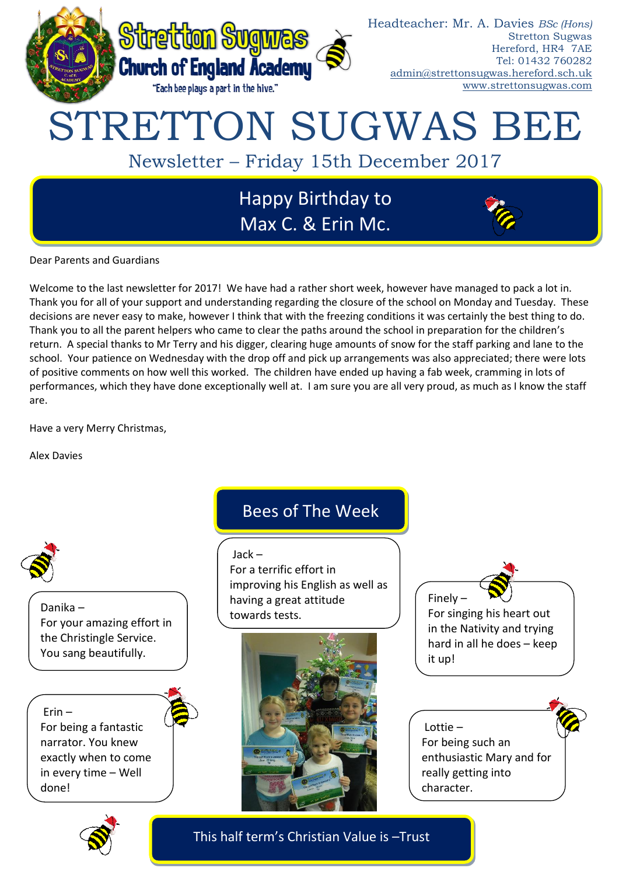

Dear Parents and Guardians

Welcome to the last newsletter for 2017! We have had a rather short week, however have managed to pack a lot in. Thank you for all of your support and understanding regarding the closure of the school on Monday and Tuesday. These decisions are never easy to make, however I think that with the freezing conditions it was certainly the best thing to do. Thank you to all the parent helpers who came to clear the paths around the school in preparation for the children's return. A special thanks to Mr Terry and his digger, clearing huge amounts of snow for the staff parking and lane to the school. Your patience on Wednesday with the drop off and pick up arrangements was also appreciated; there were lots of positive comments on how well this worked. The children have ended up having a fab week, cramming in lots of performances, which they have done exceptionally well at. I am sure you are all very proud, as much as I know the staff are.

Have a very Merry Christmas,

Alex Davies



Danika – For your amazing effort in the Christingle Service. You sang beautifully.

Erin – For being a fantastic narrator. You knew exactly when to come in every time – Well done!

# Bees of The Week

Jack –

For a terrific effort in improving his English as well as having a great attitude towards tests.



Finely – For singing his heart out in the Nativity and trying hard in all he does – keep it up!

Lottie – For being such an enthusiastic Mary and for really getting into character.



This half term's Christian Value is –Trust